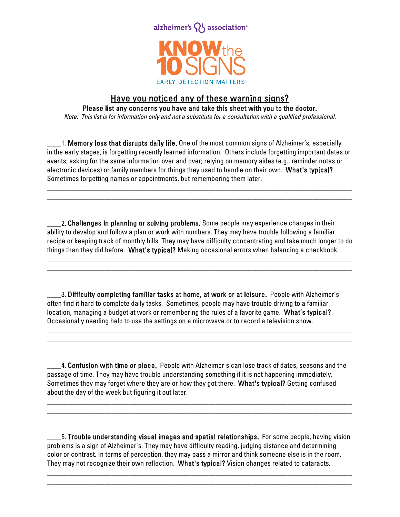

## Have you noticed any of these warning signs?

Please list any concerns you have and take this sheet with you to the doctor.

Note: This list is for information only and not a substitute for a consultation with a qualified professional.

\_1. Memory loss that disrupts daily life. One of the most common signs of Alzheimer's, especially in the early stages, is forgetting recently learned information. Others include forgetting important dates or events; asking for the same information over and over; relying on memory aides (e.g., reminder notes or electronic devices) or family members for things they used to handle on their own. What's typical? Sometimes forgetting names or appointments, but remembering them later.

\_\_\_\_\_\_\_\_\_\_\_\_\_\_\_\_\_\_\_\_\_\_\_\_\_\_\_\_\_\_\_\_\_\_\_\_\_\_\_\_\_\_\_\_\_\_\_\_\_\_\_\_\_\_\_\_\_\_\_\_\_\_\_\_\_\_\_\_\_\_\_\_\_\_\_\_\_\_\_\_\_\_\_\_\_ \_\_\_\_\_\_\_\_\_\_\_\_\_\_\_\_\_\_\_\_\_\_\_\_\_\_\_\_\_\_\_\_\_\_\_\_\_\_\_\_\_\_\_\_\_\_\_\_\_\_\_\_\_\_\_\_\_\_\_\_\_\_\_\_\_\_\_\_\_\_\_\_\_\_\_\_\_\_\_\_\_\_\_\_\_

2. Challenges in planning or solving problems. Some people may experience changes in their ability to develop and follow a plan or work with numbers. They may have trouble following a familiar recipe or keeping track of monthly bills. They may have difficulty concentrating and take much longer to do things than they did before. What's typical? Making occasional errors when balancing a checkbook.

\_\_\_\_\_\_\_\_\_\_\_\_\_\_\_\_\_\_\_\_\_\_\_\_\_\_\_\_\_\_\_\_\_\_\_\_\_\_\_\_\_\_\_\_\_\_\_\_\_\_\_\_\_\_\_\_\_\_\_\_\_\_\_\_\_\_\_\_\_\_\_\_\_\_\_\_\_\_\_\_\_\_\_\_\_ \_\_\_\_\_\_\_\_\_\_\_\_\_\_\_\_\_\_\_\_\_\_\_\_\_\_\_\_\_\_\_\_\_\_\_\_\_\_\_\_\_\_\_\_\_\_\_\_\_\_\_\_\_\_\_\_\_\_\_\_\_\_\_\_\_\_\_\_\_\_\_\_\_\_\_\_\_\_\_\_\_\_\_\_\_

3. Difficulty completing familiar tasks at home, at work or at leisure. People with Alzheimer's often find it hard to complete daily tasks. Sometimes, people may have trouble driving to a familiar location, managing a budget at work or remembering the rules of a favorite game. What's typical? Occasionally needing help to use the settings on a microwave or to record a television show.

\_\_\_\_\_\_\_\_\_\_\_\_\_\_\_\_\_\_\_\_\_\_\_\_\_\_\_\_\_\_\_\_\_\_\_\_\_\_\_\_\_\_\_\_\_\_\_\_\_\_\_\_\_\_\_\_\_\_\_\_\_\_\_\_\_\_\_\_\_\_\_\_\_\_\_\_\_\_\_\_\_\_\_\_\_ \_\_\_\_\_\_\_\_\_\_\_\_\_\_\_\_\_\_\_\_\_\_\_\_\_\_\_\_\_\_\_\_\_\_\_\_\_\_\_\_\_\_\_\_\_\_\_\_\_\_\_\_\_\_\_\_\_\_\_\_\_\_\_\_\_\_\_\_\_\_\_\_\_\_\_\_\_\_\_\_\_\_\_\_\_

4. Confusion with time or place. People with Alzheimer's can lose track of dates, seasons and the passage of time. They may have trouble understanding something if it is not happening immediately. Sometimes they may forget where they are or how they got there. What's typical? Getting confused about the day of the week but figuring it out later.

\_\_\_\_\_\_\_\_\_\_\_\_\_\_\_\_\_\_\_\_\_\_\_\_\_\_\_\_\_\_\_\_\_\_\_\_\_\_\_\_\_\_\_\_\_\_\_\_\_\_\_\_\_\_\_\_\_\_\_\_\_\_\_\_\_\_\_\_\_\_\_\_\_\_\_\_\_\_\_\_\_\_\_\_\_ \_\_\_\_\_\_\_\_\_\_\_\_\_\_\_\_\_\_\_\_\_\_\_\_\_\_\_\_\_\_\_\_\_\_\_\_\_\_\_\_\_\_\_\_\_\_\_\_\_\_\_\_\_\_\_\_\_\_\_\_\_\_\_\_\_\_\_\_\_\_\_\_\_\_\_\_\_\_\_\_\_\_\_\_\_

\_\_\_\_5. Trouble understanding visual images and spatial relationships. For some people, having vision problems is a sign of Alzheimer's. They may have difficulty reading, judging distance and determining color or contrast. In terms of perception, they may pass a mirror and think someone else is in the room. They may not recognize their own reflection. What's typical? Vision changes related to cataracts.

\_\_\_\_\_\_\_\_\_\_\_\_\_\_\_\_\_\_\_\_\_\_\_\_\_\_\_\_\_\_\_\_\_\_\_\_\_\_\_\_\_\_\_\_\_\_\_\_\_\_\_\_\_\_\_\_\_\_\_\_\_\_\_\_\_\_\_\_\_\_\_\_\_\_\_\_\_\_\_\_\_\_\_\_\_ \_\_\_\_\_\_\_\_\_\_\_\_\_\_\_\_\_\_\_\_\_\_\_\_\_\_\_\_\_\_\_\_\_\_\_\_\_\_\_\_\_\_\_\_\_\_\_\_\_\_\_\_\_\_\_\_\_\_\_\_\_\_\_\_\_\_\_\_\_\_\_\_\_\_\_\_\_\_\_\_\_\_\_\_\_